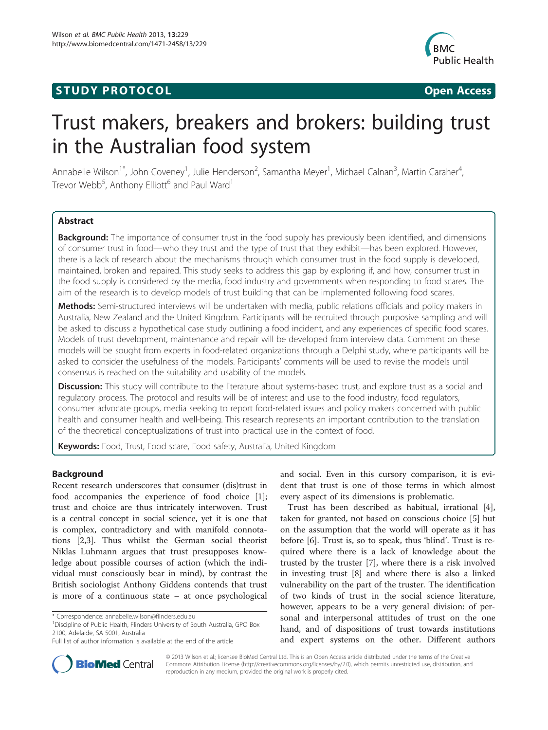# **STUDY PROTOCOL CONSUMING THE CONSUMING OPEN ACCESS**



# Trust makers, breakers and brokers: building trust in the Australian food system

Annabelle Wilson<sup>1\*</sup>, John Coveney<sup>1</sup>, Julie Henderson<sup>2</sup>, Samantha Meyer<sup>1</sup>, Michael Calnan<sup>3</sup>, Martin Caraher<sup>4</sup> , Trevor Webb<sup>5</sup>, Anthony Elliott<sup>6</sup> and Paul Ward<sup>1</sup>

# **Abstract**

Background: The importance of consumer trust in the food supply has previously been identified, and dimensions of consumer trust in food—who they trust and the type of trust that they exhibit—has been explored. However, there is a lack of research about the mechanisms through which consumer trust in the food supply is developed, maintained, broken and repaired. This study seeks to address this gap by exploring if, and how, consumer trust in the food supply is considered by the media, food industry and governments when responding to food scares. The aim of the research is to develop models of trust building that can be implemented following food scares.

Methods: Semi-structured interviews will be undertaken with media, public relations officials and policy makers in Australia, New Zealand and the United Kingdom. Participants will be recruited through purposive sampling and will be asked to discuss a hypothetical case study outlining a food incident, and any experiences of specific food scares. Models of trust development, maintenance and repair will be developed from interview data. Comment on these models will be sought from experts in food-related organizations through a Delphi study, where participants will be asked to consider the usefulness of the models. Participants' comments will be used to revise the models until consensus is reached on the suitability and usability of the models.

Discussion: This study will contribute to the literature about systems-based trust, and explore trust as a social and regulatory process. The protocol and results will be of interest and use to the food industry, food regulators, consumer advocate groups, media seeking to report food-related issues and policy makers concerned with public health and consumer health and well-being. This research represents an important contribution to the translation of the theoretical conceptualizations of trust into practical use in the context of food.

Keywords: Food, Trust, Food scare, Food safety, Australia, United Kingdom

# Background

Recent research underscores that consumer (dis)trust in food accompanies the experience of food choice [\[1](#page-6-0)]; trust and choice are thus intricately interwoven. Trust is a central concept in social science, yet it is one that is complex, contradictory and with manifold connotations [[2,3\]](#page-6-0). Thus whilst the German social theorist Niklas Luhmann argues that trust presupposes knowledge about possible courses of action (which the individual must consciously bear in mind), by contrast the British sociologist Anthony Giddens contends that trust is more of a continuous state – at once psychological

<sup>1</sup> Discipline of Public Health, Flinders University of South Australia, GPO Box 2100, Adelaide, SA 5001, Australia

and social. Even in this cursory comparison, it is evident that trust is one of those terms in which almost every aspect of its dimensions is problematic.

Trust has been described as habitual, irrational [\[4](#page-6-0)], taken for granted, not based on conscious choice [[5\]](#page-6-0) but on the assumption that the world will operate as it has before [[6\]](#page-6-0). Trust is, so to speak, thus 'blind'. Trust is required where there is a lack of knowledge about the trusted by the truster [[7\]](#page-6-0), where there is a risk involved in investing trust [[8](#page-6-0)] and where there is also a linked vulnerability on the part of the truster. The identification of two kinds of trust in the social science literature, however, appears to be a very general division: of personal and interpersonal attitudes of trust on the one hand, and of dispositions of trust towards institutions and expert systems on the other. Different authors



© 2013 Wilson et al.; licensee BioMed Central Ltd. This is an Open Access article distributed under the terms of the Creative Commons Attribution License [\(http://creativecommons.org/licenses/by/2.0\)](http://creativecommons.org/licenses/by/2.0), which permits unrestricted use, distribution, and reproduction in any medium, provided the original work is properly cited.

<sup>\*</sup> Correspondence: [annabelle.wilson@flinders.edu.au](mailto:annabelle.wilson@flinders.edu.au) <sup>1</sup>

Full list of author information is available at the end of the article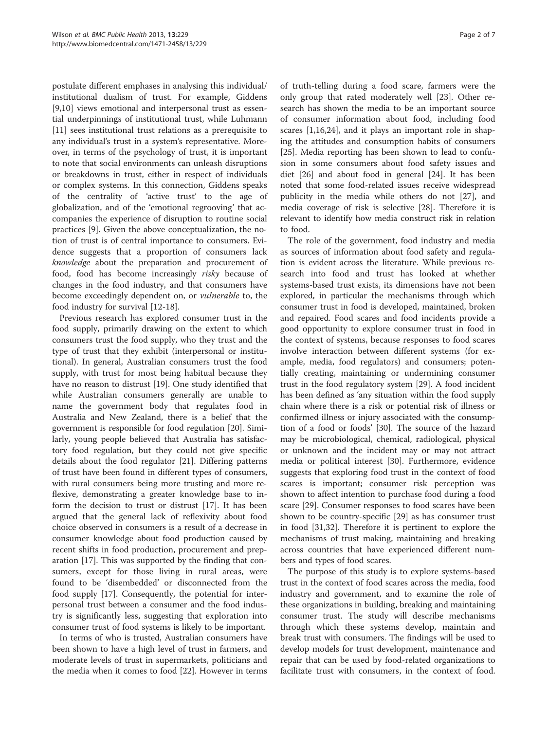postulate different emphases in analysing this individual/ institutional dualism of trust. For example, Giddens [[9,10\]](#page-6-0) views emotional and interpersonal trust as essential underpinnings of institutional trust, while Luhmann [[11\]](#page-6-0) sees institutional trust relations as a prerequisite to any individual's trust in a system's representative. Moreover, in terms of the psychology of trust, it is important to note that social environments can unleash disruptions or breakdowns in trust, either in respect of individuals or complex systems. In this connection, Giddens speaks of the centrality of 'active trust' to the age of globalization, and of the 'emotional regrooving' that accompanies the experience of disruption to routine social practices [\[9\]](#page-6-0). Given the above conceptualization, the notion of trust is of central importance to consumers. Evidence suggests that a proportion of consumers lack knowledge about the preparation and procurement of food, food has become increasingly risky because of changes in the food industry, and that consumers have become exceedingly dependent on, or vulnerable to, the food industry for survival [[12-18\]](#page-6-0).

Previous research has explored consumer trust in the food supply, primarily drawing on the extent to which consumers trust the food supply, who they trust and the type of trust that they exhibit (interpersonal or institutional). In general, Australian consumers trust the food supply, with trust for most being habitual because they have no reason to distrust [[19](#page-6-0)]. One study identified that while Australian consumers generally are unable to name the government body that regulates food in Australia and New Zealand, there is a belief that the government is responsible for food regulation [[20](#page-6-0)]. Similarly, young people believed that Australia has satisfactory food regulation, but they could not give specific details about the food regulator [[21\]](#page-6-0). Differing patterns of trust have been found in different types of consumers, with rural consumers being more trusting and more reflexive, demonstrating a greater knowledge base to inform the decision to trust or distrust [\[17\]](#page-6-0). It has been argued that the general lack of reflexivity about food choice observed in consumers is a result of a decrease in consumer knowledge about food production caused by recent shifts in food production, procurement and preparation [[17](#page-6-0)]. This was supported by the finding that consumers, except for those living in rural areas, were found to be 'disembedded' or disconnected from the food supply [\[17\]](#page-6-0). Consequently, the potential for interpersonal trust between a consumer and the food industry is significantly less, suggesting that exploration into consumer trust of food systems is likely to be important.

In terms of who is trusted, Australian consumers have been shown to have a high level of trust in farmers, and moderate levels of trust in supermarkets, politicians and the media when it comes to food [[22](#page-6-0)]. However in terms

of truth-telling during a food scare, farmers were the only group that rated moderately well [[23\]](#page-6-0). Other research has shown the media to be an important source of consumer information about food, including food scares [\[1,16,24\]](#page-6-0), and it plays an important role in shaping the attitudes and consumption habits of consumers [[25\]](#page-6-0). Media reporting has been shown to lead to confusion in some consumers about food safety issues and diet [\[26](#page-6-0)] and about food in general [[24\]](#page-6-0). It has been noted that some food-related issues receive widespread publicity in the media while others do not [\[27\]](#page-6-0), and media coverage of risk is selective [[28\]](#page-6-0). Therefore it is relevant to identify how media construct risk in relation to food.

The role of the government, food industry and media as sources of information about food safety and regulation is evident across the literature. While previous research into food and trust has looked at whether systems-based trust exists, its dimensions have not been explored, in particular the mechanisms through which consumer trust in food is developed, maintained, broken and repaired. Food scares and food incidents provide a good opportunity to explore consumer trust in food in the context of systems, because responses to food scares involve interaction between different systems (for example, media, food regulators) and consumers; potentially creating, maintaining or undermining consumer trust in the food regulatory system [\[29\]](#page-6-0). A food incident has been defined as 'any situation within the food supply chain where there is a risk or potential risk of illness or confirmed illness or injury associated with the consumption of a food or foods' [\[30\]](#page-6-0). The source of the hazard may be microbiological, chemical, radiological, physical or unknown and the incident may or may not attract media or political interest [\[30\]](#page-6-0). Furthermore, evidence suggests that exploring food trust in the context of food scares is important; consumer risk perception was shown to affect intention to purchase food during a food scare [[29](#page-6-0)]. Consumer responses to food scares have been shown to be country-specific [[29\]](#page-6-0) as has consumer trust in food [\[31,32\]](#page-6-0). Therefore it is pertinent to explore the mechanisms of trust making, maintaining and breaking across countries that have experienced different numbers and types of food scares.

The purpose of this study is to explore systems-based trust in the context of food scares across the media, food industry and government, and to examine the role of these organizations in building, breaking and maintaining consumer trust. The study will describe mechanisms through which these systems develop, maintain and break trust with consumers. The findings will be used to develop models for trust development, maintenance and repair that can be used by food-related organizations to facilitate trust with consumers, in the context of food.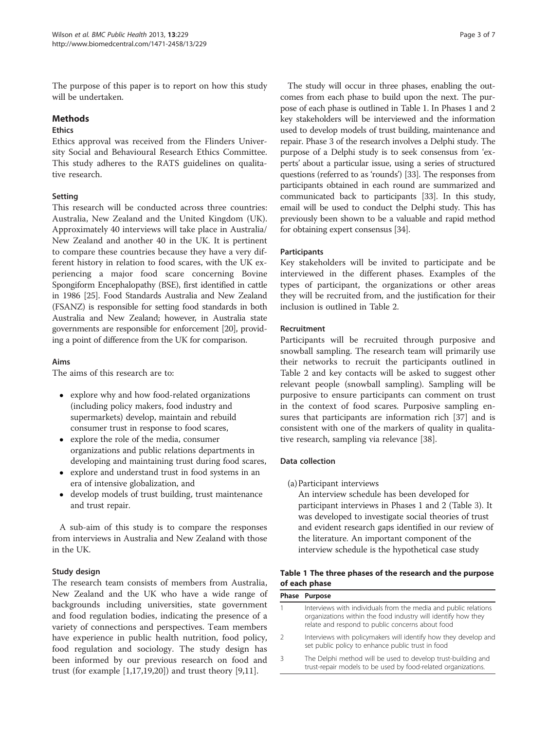The purpose of this paper is to report on how this study will be undertaken.

#### Methods

#### Ethics

Ethics approval was received from the Flinders University Social and Behavioural Research Ethics Committee. This study adheres to the RATS guidelines on qualitative research.

# Setting

This research will be conducted across three countries: Australia, New Zealand and the United Kingdom (UK). Approximately 40 interviews will take place in Australia/ New Zealand and another 40 in the UK. It is pertinent to compare these countries because they have a very different history in relation to food scares, with the UK experiencing a major food scare concerning Bovine Spongiform Encephalopathy (BSE), first identified in cattle in 1986 [\[25\]](#page-6-0). Food Standards Australia and New Zealand (FSANZ) is responsible for setting food standards in both Australia and New Zealand; however, in Australia state governments are responsible for enforcement [\[20](#page-6-0)], providing a point of difference from the UK for comparison.

# Aims

The aims of this research are to:

- explore why and how food-related organizations (including policy makers, food industry and supermarkets) develop, maintain and rebuild consumer trust in response to food scares,
- explore the role of the media, consumer organizations and public relations departments in developing and maintaining trust during food scares,
- explore and understand trust in food systems in an era of intensive globalization, and
- develop models of trust building, trust maintenance and trust repair.

A sub-aim of this study is to compare the responses from interviews in Australia and New Zealand with those in the UK.

# Study design

The research team consists of members from Australia, New Zealand and the UK who have a wide range of backgrounds including universities, state government and food regulation bodies, indicating the presence of a variety of connections and perspectives. Team members have experience in public health nutrition, food policy, food regulation and sociology. The study design has been informed by our previous research on food and trust (for example [[1,17](#page-6-0),[19](#page-6-0),[20](#page-6-0)]) and trust theory [[9,11\]](#page-6-0).

The study will occur in three phases, enabling the outcomes from each phase to build upon the next. The purpose of each phase is outlined in Table 1. In Phases 1 and 2 key stakeholders will be interviewed and the information used to develop models of trust building, maintenance and repair. Phase 3 of the research involves a Delphi study. The purpose of a Delphi study is to seek consensus from 'experts' about a particular issue, using a series of structured questions (referred to as 'rounds') [[33](#page-6-0)]. The responses from participants obtained in each round are summarized and communicated back to participants [\[33\]](#page-6-0). In this study, email will be used to conduct the Delphi study. This has previously been shown to be a valuable and rapid method for obtaining expert consensus [\[34\]](#page-6-0).

# **Participants**

Key stakeholders will be invited to participate and be interviewed in the different phases. Examples of the types of participant, the organizations or other areas they will be recruited from, and the justification for their inclusion is outlined in Table [2.](#page-3-0)

# Recruitment

Participants will be recruited through purposive and snowball sampling. The research team will primarily use their networks to recruit the participants outlined in Table [2](#page-3-0) and key contacts will be asked to suggest other relevant people (snowball sampling). Sampling will be purposive to ensure participants can comment on trust in the context of food scares. Purposive sampling ensures that participants are information rich [[37](#page-6-0)] and is consistent with one of the markers of quality in qualitative research, sampling via relevance [\[38\]](#page-6-0).

# Data collection

(a)Participant interviews

An interview schedule has been developed for participant interviews in Phases 1 and 2 (Table [3\)](#page-3-0). It was developed to investigate social theories of trust and evident research gaps identified in our review of the literature. An important component of the interview schedule is the hypothetical case study

# Table 1 The three phases of the research and the purpose of each phase

| Phase Purpose                                                                                                                                                                        |
|--------------------------------------------------------------------------------------------------------------------------------------------------------------------------------------|
| Interviews with individuals from the media and public relations<br>organizations within the food industry will identify how they<br>relate and respond to public concerns about food |
| Interviews with policymakers will identify how they develop and<br>set public policy to enhance public trust in food                                                                 |
| The Delphi method will be used to develop trust-building and<br>trust-repair models to be used by food-related organizations.                                                        |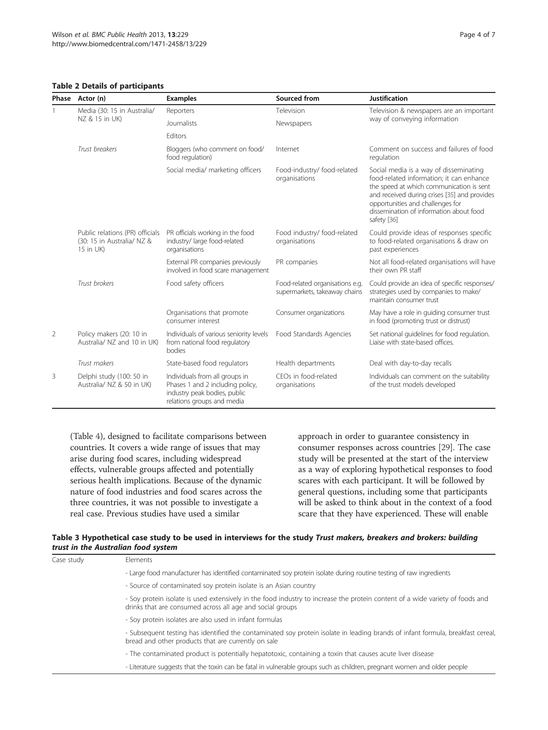#### <span id="page-3-0"></span>Table 2 Details of participants

|   | Phase Actor (n)                                                            | <b>Examples</b>                                                                                                                  | Sourced from                                                     | <b>Justification</b>                                                                                                                                                                                                                                                         |  |
|---|----------------------------------------------------------------------------|----------------------------------------------------------------------------------------------------------------------------------|------------------------------------------------------------------|------------------------------------------------------------------------------------------------------------------------------------------------------------------------------------------------------------------------------------------------------------------------------|--|
|   | Media (30: 15 in Australia/<br>NZ & 15 in UK)                              | Reporters                                                                                                                        | Television                                                       | Television & newspapers are an important                                                                                                                                                                                                                                     |  |
|   |                                                                            | Journalists                                                                                                                      | Newspapers                                                       | way of conveying information                                                                                                                                                                                                                                                 |  |
|   |                                                                            | Editors                                                                                                                          |                                                                  |                                                                                                                                                                                                                                                                              |  |
|   | Trust breakers                                                             | Bloggers (who comment on food/<br>food regulation)                                                                               | Internet                                                         | Comment on success and failures of food<br>regulation                                                                                                                                                                                                                        |  |
|   |                                                                            | Social media/ marketing officers                                                                                                 | Food-industry/ food-related<br>organisations                     | Social media is a way of disseminating<br>food-related information; it can enhance<br>the speed at which communication is sent<br>and received during crises [35] and provides<br>opportunities and challenges for<br>dissemination of information about food<br>safety [36] |  |
|   | Public relations (PR) officials<br>(30: 15 in Australia/ NZ &<br>15 in UK) | PR officials working in the food<br>industry/ large food-related<br>organisations                                                | Food industry/ food-related<br>organisations                     | Could provide ideas of responses specific<br>to food-related organisations & draw on<br>past experiences                                                                                                                                                                     |  |
|   |                                                                            | External PR companies previously<br>involved in food scare management                                                            | PR companies                                                     | Not all food-related organisations will have<br>their own PR staff                                                                                                                                                                                                           |  |
|   | Trust brokers                                                              | Food safety officers                                                                                                             | Food-related organisations e.g.<br>supermarkets, takeaway chains | Could provide an idea of specific responses/<br>strategies used by companies to make/<br>maintain consumer trust                                                                                                                                                             |  |
|   |                                                                            | Organisations that promote<br>consumer interest                                                                                  | Consumer organizations                                           | May have a role in quiding consumer trust<br>in food (promoting trust or distrust)                                                                                                                                                                                           |  |
| 2 | Policy makers (20: 10 in<br>Australia/ NZ and 10 in UK)                    | Individuals of various seniority levels<br>from national food regulatory<br>bodies                                               | Food Standards Agencies                                          | Set national guidelines for food regulation.<br>Liaise with state-based offices.                                                                                                                                                                                             |  |
|   | Trust makers                                                               | State-based food regulators                                                                                                      | Health departments                                               | Deal with day-to-day recalls                                                                                                                                                                                                                                                 |  |
| 3 | Delphi study (100: 50 in<br>Australia/ NZ & 50 in UK)                      | Individuals from all groups in<br>Phases 1 and 2 including policy,<br>industry peak bodies, public<br>relations groups and media | CFOs in food-related<br>organisations                            | Individuals can comment on the suitability<br>of the trust models developed                                                                                                                                                                                                  |  |

(Table [4\)](#page-4-0), designed to facilitate comparisons between countries. It covers a wide range of issues that may arise during food scares, including widespread effects, vulnerable groups affected and potentially serious health implications. Because of the dynamic nature of food industries and food scares across the three countries, it was not possible to investigate a real case. Previous studies have used a similar

approach in order to guarantee consistency in consumer responses across countries [[29](#page-6-0)]. The case study will be presented at the start of the interview as a way of exploring hypothetical responses to food scares with each participant. It will be followed by general questions, including some that participants will be asked to think about in the context of a food scare that they have experienced. These will enable

|                                     |  | Table 3 Hypothetical case study to be used in interviews for the study <i>Trust makers, breakers and brokers: building</i> |  |
|-------------------------------------|--|----------------------------------------------------------------------------------------------------------------------------|--|
| trust in the Australian food system |  |                                                                                                                            |  |

| Case study | <b>Flements</b>                                                                                                                                                                            |
|------------|--------------------------------------------------------------------------------------------------------------------------------------------------------------------------------------------|
|            | - Large food manufacturer has identified contaminated soy protein isolate during routine testing of raw ingredients                                                                        |
|            | - Source of contaminated soy protein isolate is an Asian country                                                                                                                           |
|            | - Soy protein isolate is used extensively in the food industry to increase the protein content of a wide variety of foods and<br>drinks that are consumed across all age and social groups |
|            | - Soy protein isolates are also used in infant formulas                                                                                                                                    |
|            | - Subsequent testing has identified the contaminated soy protein isolate in leading brands of infant formula, breakfast cereal,<br>bread and other products that are currently on sale     |
|            | - The contaminated product is potentially hepatotoxic, containing a toxin that causes acute liver disease                                                                                  |
|            | - Literature suggests that the toxin can be fatal in vulnerable groups such as children, pregnant women and older people                                                                   |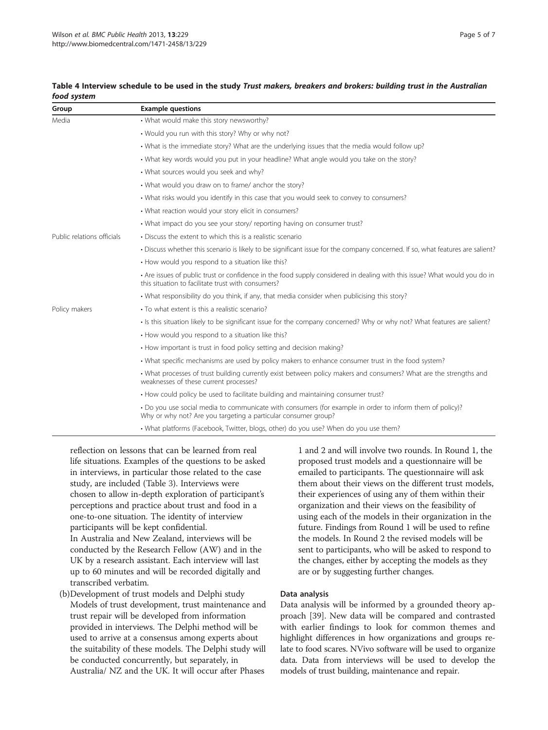| Group                      | <b>Example questions</b>                                                                                                                                                        |
|----------------------------|---------------------------------------------------------------------------------------------------------------------------------------------------------------------------------|
| Media                      | • What would make this story newsworthy?                                                                                                                                        |
|                            | . Would you run with this story? Why or why not?                                                                                                                                |
|                            | • What is the immediate story? What are the underlying issues that the media would follow up?                                                                                   |
|                            | • What key words would you put in your headline? What angle would you take on the story?                                                                                        |
|                            | . What sources would you seek and why?                                                                                                                                          |
|                            | . What would you draw on to frame/ anchor the story?                                                                                                                            |
|                            | • What risks would you identify in this case that you would seek to convey to consumers?                                                                                        |
|                            | . What reaction would your story elicit in consumers?                                                                                                                           |
|                            | . What impact do you see your story/ reporting having on consumer trust?                                                                                                        |
| Public relations officials | • Discuss the extent to which this is a realistic scenario                                                                                                                      |
|                            | . Discuss whether this scenario is likely to be significant issue for the company concerned. If so, what features are salient?                                                  |
|                            | • How would you respond to a situation like this?                                                                                                                               |
|                            | • Are issues of public trust or confidence in the food supply considered in dealing with this issue? What would you do in<br>this situation to facilitate trust with consumers? |
|                            | . What responsibility do you think, if any, that media consider when publicising this story?                                                                                    |
| Policy makers              | • To what extent is this a realistic scenario?                                                                                                                                  |
|                            | • Is this situation likely to be significant issue for the company concerned? Why or why not? What features are salient?                                                        |
|                            | • How would you respond to a situation like this?                                                                                                                               |
|                            | • How important is trust in food policy setting and decision making?                                                                                                            |
|                            | . What specific mechanisms are used by policy makers to enhance consumer trust in the food system?                                                                              |
|                            | . What processes of trust building currently exist between policy makers and consumers? What are the strengths and<br>weaknesses of these current processes?                    |
|                            | • How could policy be used to facilitate building and maintaining consumer trust?                                                                                               |
|                            | . Do you use social media to communicate with consumers (for example in order to inform them of policy)?<br>Why or why not? Are you targeting a particular consumer group?      |
|                            | · What platforms (Facebook, Twitter, blogs, other) do you use? When do you use them?                                                                                            |

#### <span id="page-4-0"></span>Table 4 Interview schedule to be used in the study Trust makers, breakers and brokers: building trust in the Australian food system

reflection on lessons that can be learned from real life situations. Examples of the questions to be asked in interviews, in particular those related to the case study, are included (Table [3](#page-3-0)). Interviews were chosen to allow in-depth exploration of participant's perceptions and practice about trust and food in a one-to-one situation. The identity of interview participants will be kept confidential. In Australia and New Zealand, interviews will be conducted by the Research Fellow (AW) and in the UK by a research assistant. Each interview will last up to 60 minutes and will be recorded digitally and transcribed verbatim.

(b)Development of trust models and Delphi study Models of trust development, trust maintenance and trust repair will be developed from information provided in interviews. The Delphi method will be used to arrive at a consensus among experts about the suitability of these models. The Delphi study will be conducted concurrently, but separately, in Australia/ NZ and the UK. It will occur after Phases

1 and 2 and will involve two rounds. In Round 1, the proposed trust models and a questionnaire will be emailed to participants. The questionnaire will ask them about their views on the different trust models, their experiences of using any of them within their organization and their views on the feasibility of using each of the models in their organization in the future. Findings from Round 1 will be used to refine the models. In Round 2 the revised models will be sent to participants, who will be asked to respond to the changes, either by accepting the models as they are or by suggesting further changes.

# Data analysis

Data analysis will be informed by a grounded theory approach [[39](#page-6-0)]. New data will be compared and contrasted with earlier findings to look for common themes and highlight differences in how organizations and groups relate to food scares. NVivo software will be used to organize data. Data from interviews will be used to develop the models of trust building, maintenance and repair.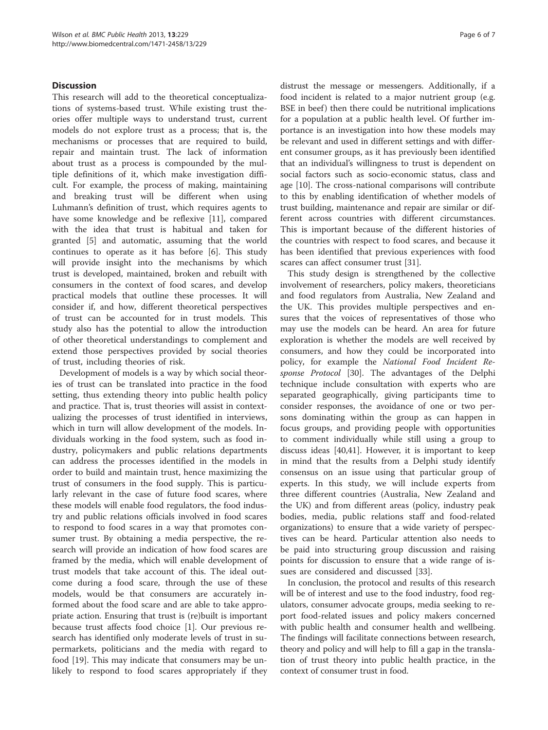# Discussion

This research will add to the theoretical conceptualizations of systems-based trust. While existing trust theories offer multiple ways to understand trust, current models do not explore trust as a process; that is, the mechanisms or processes that are required to build, repair and maintain trust. The lack of information about trust as a process is compounded by the multiple definitions of it, which make investigation difficult. For example, the process of making, maintaining and breaking trust will be different when using Luhmann's definition of trust, which requires agents to have some knowledge and be reflexive [\[11\]](#page-6-0), compared with the idea that trust is habitual and taken for granted [[5\]](#page-6-0) and automatic, assuming that the world continues to operate as it has before [\[6](#page-6-0)]. This study will provide insight into the mechanisms by which trust is developed, maintained, broken and rebuilt with consumers in the context of food scares, and develop practical models that outline these processes. It will consider if, and how, different theoretical perspectives of trust can be accounted for in trust models. This study also has the potential to allow the introduction of other theoretical understandings to complement and extend those perspectives provided by social theories of trust, including theories of risk.

Development of models is a way by which social theories of trust can be translated into practice in the food setting, thus extending theory into public health policy and practice. That is, trust theories will assist in contextualizing the processes of trust identified in interviews, which in turn will allow development of the models. Individuals working in the food system, such as food industry, policymakers and public relations departments can address the processes identified in the models in order to build and maintain trust, hence maximizing the trust of consumers in the food supply. This is particularly relevant in the case of future food scares, where these models will enable food regulators, the food industry and public relations officials involved in food scares to respond to food scares in a way that promotes consumer trust. By obtaining a media perspective, the research will provide an indication of how food scares are framed by the media, which will enable development of trust models that take account of this. The ideal outcome during a food scare, through the use of these models, would be that consumers are accurately informed about the food scare and are able to take appropriate action. Ensuring that trust is (re)built is important because trust affects food choice [[1\]](#page-6-0). Our previous research has identified only moderate levels of trust in supermarkets, politicians and the media with regard to food [\[19](#page-6-0)]. This may indicate that consumers may be unlikely to respond to food scares appropriately if they

distrust the message or messengers. Additionally, if a food incident is related to a major nutrient group (e.g. BSE in beef) then there could be nutritional implications for a population at a public health level. Of further importance is an investigation into how these models may be relevant and used in different settings and with different consumer groups, as it has previously been identified that an individual's willingness to trust is dependent on social factors such as socio-economic status, class and age [[10](#page-6-0)]. The cross-national comparisons will contribute to this by enabling identification of whether models of trust building, maintenance and repair are similar or different across countries with different circumstances. This is important because of the different histories of the countries with respect to food scares, and because it has been identified that previous experiences with food scares can affect consumer trust [[31\]](#page-6-0).

This study design is strengthened by the collective involvement of researchers, policy makers, theoreticians and food regulators from Australia, New Zealand and the UK. This provides multiple perspectives and ensures that the voices of representatives of those who may use the models can be heard. An area for future exploration is whether the models are well received by consumers, and how they could be incorporated into policy, for example the National Food Incident Response Protocol [[30](#page-6-0)]. The advantages of the Delphi technique include consultation with experts who are separated geographically, giving participants time to consider responses, the avoidance of one or two persons dominating within the group as can happen in focus groups, and providing people with opportunities to comment individually while still using a group to discuss ideas [\[40,41](#page-6-0)]. However, it is important to keep in mind that the results from a Delphi study identify consensus on an issue using that particular group of experts. In this study, we will include experts from three different countries (Australia, New Zealand and the UK) and from different areas (policy, industry peak bodies, media, public relations staff and food-related organizations) to ensure that a wide variety of perspectives can be heard. Particular attention also needs to be paid into structuring group discussion and raising points for discussion to ensure that a wide range of issues are considered and discussed [\[33\]](#page-6-0).

In conclusion, the protocol and results of this research will be of interest and use to the food industry, food regulators, consumer advocate groups, media seeking to report food-related issues and policy makers concerned with public health and consumer health and wellbeing. The findings will facilitate connections between research, theory and policy and will help to fill a gap in the translation of trust theory into public health practice, in the context of consumer trust in food.